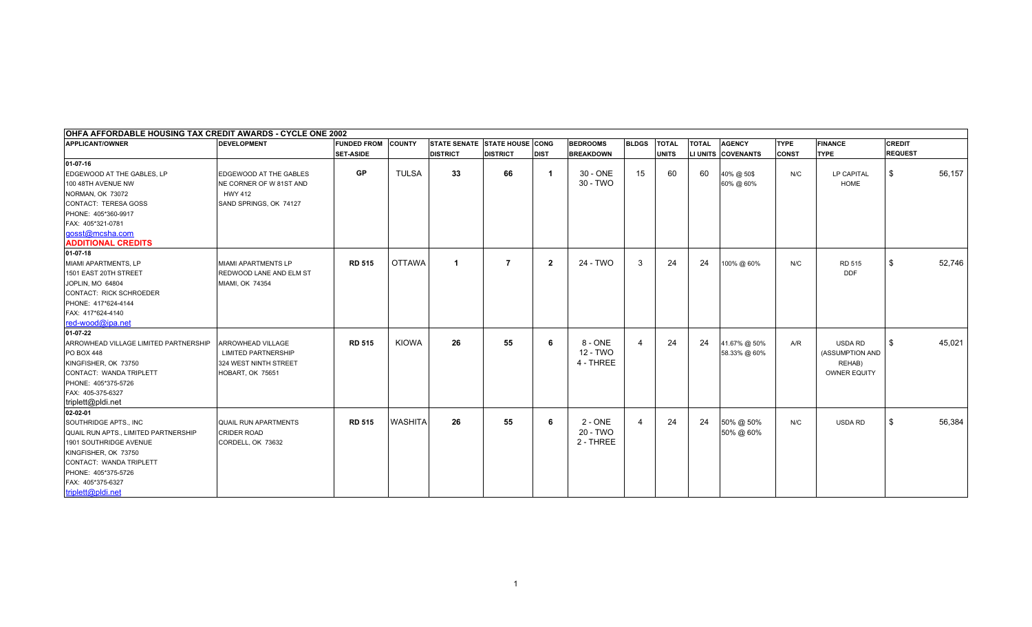| OHFA AFFORDABLE HOUSING TAX CREDIT AWARDS - CYCLE ONE 2002 |                             |                           |                |                               |                 |              |                  |                     |              |              |                    |              |                     |                |        |
|------------------------------------------------------------|-----------------------------|---------------------------|----------------|-------------------------------|-----------------|--------------|------------------|---------------------|--------------|--------------|--------------------|--------------|---------------------|----------------|--------|
| <b>APPLICANT/OWNER</b>                                     | <b>DEVELOPMENT</b>          | <b>FUNDED FROM COUNTY</b> |                | STATE SENATE STATE HOUSE CONG |                 |              | <b>BEDROOMS</b>  | <b>BLDGS</b>        | <b>TOTAL</b> | <b>TOTAL</b> | <b>AGENCY</b>      | <b>TYPE</b>  | <b>FINANCE</b>      | <b>CREDIT</b>  |        |
|                                                            |                             | <b>SET-ASIDE</b>          |                | <b>DISTRICT</b>               | <b>DISTRICT</b> | <b>DIST</b>  | <b>BREAKDOWN</b> |                     | <b>UNITS</b> |              | LI UNITS COVENANTS | <b>CONST</b> | <b>TYPE</b>         | <b>REQUEST</b> |        |
| 01-07-16                                                   |                             |                           |                |                               |                 |              |                  |                     |              |              |                    |              |                     |                |        |
| EDGEWOOD AT THE GABLES, LP                                 | EDGEWOOD AT THE GABLES      | <b>GP</b>                 | <b>TULSA</b>   | 33                            | 66              | -1           | 30 - ONE         | 15                  | 60           | 60           | 40% @ 50\$         | N/C          | LP CAPITAL          | \$             | 56,157 |
| 100 48TH AVENUE NW                                         | NE CORNER OF W 81ST AND     |                           |                |                               |                 |              | 30 - TWO         |                     |              |              | 60% @ 60%          |              | <b>HOME</b>         |                |        |
| NORMAN, OK 73072                                           | <b>HWY 412</b>              |                           |                |                               |                 |              |                  |                     |              |              |                    |              |                     |                |        |
| CONTACT: TERESA GOSS                                       | SAND SPRINGS, OK 74127      |                           |                |                               |                 |              |                  |                     |              |              |                    |              |                     |                |        |
| PHONE: 405*360-9917                                        |                             |                           |                |                               |                 |              |                  |                     |              |              |                    |              |                     |                |        |
| FAX: 405*321-0781                                          |                             |                           |                |                               |                 |              |                  |                     |              |              |                    |              |                     |                |        |
| gosst@mcsha.com                                            |                             |                           |                |                               |                 |              |                  |                     |              |              |                    |              |                     |                |        |
| <b>ADDITIONAL CREDITS</b>                                  |                             |                           |                |                               |                 |              |                  |                     |              |              |                    |              |                     |                |        |
| 01-07-18                                                   |                             |                           |                |                               |                 |              |                  |                     |              |              |                    |              |                     |                |        |
| MIAMI APARTMENTS, LP                                       | MIAMI APARTMENTS LP         | <b>RD 515</b>             | <b>OTTAWA</b>  |                               | 7               | $\mathbf{2}$ | 24 - TWO         | -3                  | 24           | 24           | 100% @ 60%         | N/C          | RD 515              | \$             | 52,746 |
| 1501 EAST 20TH STREET                                      | REDWOOD LANE AND ELM ST     |                           |                |                               |                 |              |                  |                     |              |              |                    |              | <b>DDF</b>          |                |        |
| JOPLIN, MO 64804                                           | MIAMI, OK 74354             |                           |                |                               |                 |              |                  |                     |              |              |                    |              |                     |                |        |
| CONTACT: RICK SCHROEDER                                    |                             |                           |                |                               |                 |              |                  |                     |              |              |                    |              |                     |                |        |
| PHONE: 417*624-4144                                        |                             |                           |                |                               |                 |              |                  |                     |              |              |                    |              |                     |                |        |
| FAX: 417*624-4140                                          |                             |                           |                |                               |                 |              |                  |                     |              |              |                    |              |                     |                |        |
| red-wood@ipa.net                                           |                             |                           |                |                               |                 |              |                  |                     |              |              |                    |              |                     |                |        |
| 01-07-22                                                   |                             |                           |                |                               |                 |              |                  |                     |              |              |                    |              |                     |                |        |
| ARROWHEAD VILLAGE LIMITED PARTNERSHIP                      | <b>ARROWHEAD VILLAGE</b>    | <b>RD 515</b>             | <b>KIOWA</b>   | 26                            | 55              | 6            | 8 - ONE          | 4                   | 24           | 24           | 41.67% @ 50%       | A/R          | USDA RD             | \$             | 45,021 |
| <b>PO BOX 448</b>                                          | <b>LIMITED PARTNERSHIP</b>  |                           |                |                               |                 |              | 12 - TWO         |                     |              |              | 58.33% @ 60%       |              | (ASSUMPTION AND     |                |        |
| KINGFISHER, OK 73750                                       | 324 WEST NINTH STREET       |                           |                |                               |                 |              | 4 - THREE        |                     |              |              |                    |              | REHAB)              |                |        |
| CONTACT: WANDA TRIPLETT                                    | HOBART, OK 75651            |                           |                |                               |                 |              |                  |                     |              |              |                    |              | <b>OWNER EQUITY</b> |                |        |
| PHONE: 405*375-5726                                        |                             |                           |                |                               |                 |              |                  |                     |              |              |                    |              |                     |                |        |
| FAX: 405-375-6327                                          |                             |                           |                |                               |                 |              |                  |                     |              |              |                    |              |                     |                |        |
| triplett@pldi.net                                          |                             |                           |                |                               |                 |              |                  |                     |              |              |                    |              |                     |                |        |
| 02-02-01                                                   |                             |                           |                |                               |                 |              |                  |                     |              |              |                    |              |                     |                |        |
| SOUTHRIDGE APTS., INC                                      | <b>QUAIL RUN APARTMENTS</b> | <b>RD 515</b>             | <b>WASHITA</b> | 26                            | 55              | 6            | $2 - ONE$        | $\overline{\bf{4}}$ | 24           | 24           | 50% @ 50%          | N/C          | USDA RD             | \$             | 56,384 |
| QUAIL RUN APTS., LIMITED PARTNERSHIP                       | <b>CRIDER ROAD</b>          |                           |                |                               |                 |              | 20 - TWO         |                     |              |              | 50% @ 60%          |              |                     |                |        |
| 1901 SOUTHRIDGE AVENUE                                     | CORDELL, OK 73632           |                           |                |                               |                 |              | 2 - THREE        |                     |              |              |                    |              |                     |                |        |
| KINGFISHER, OK 73750                                       |                             |                           |                |                               |                 |              |                  |                     |              |              |                    |              |                     |                |        |
| CONTACT: WANDA TRIPLETT                                    |                             |                           |                |                               |                 |              |                  |                     |              |              |                    |              |                     |                |        |
| PHONE: 405*375-5726                                        |                             |                           |                |                               |                 |              |                  |                     |              |              |                    |              |                     |                |        |
| FAX: 405*375-6327                                          |                             |                           |                |                               |                 |              |                  |                     |              |              |                    |              |                     |                |        |
| triplett@pldi.net                                          |                             |                           |                |                               |                 |              |                  |                     |              |              |                    |              |                     |                |        |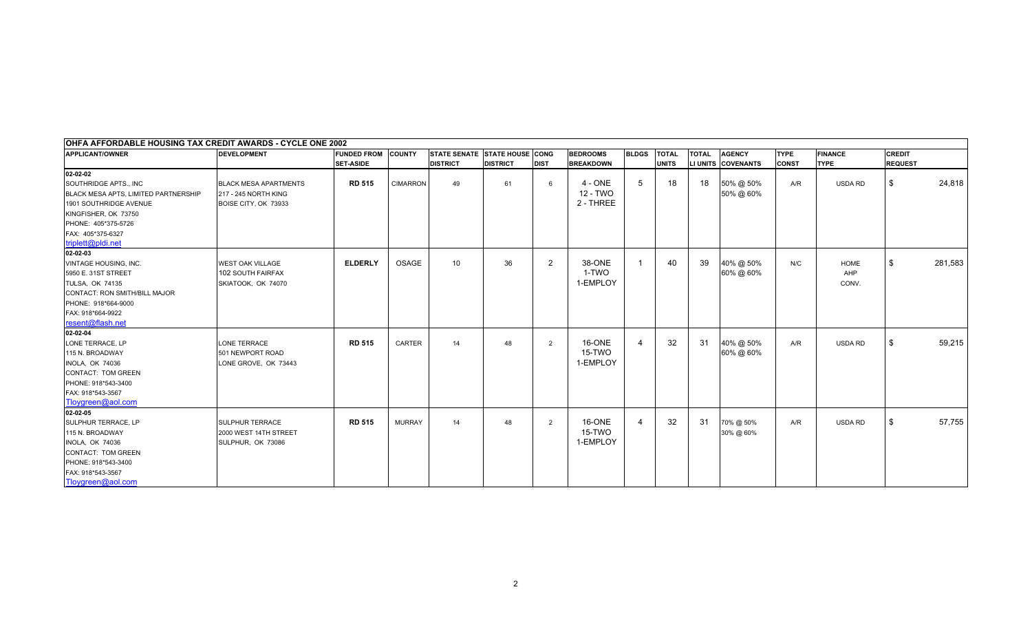| OHFA AFFORDABLE HOUSING TAX CREDIT AWARDS - CYCLE ONE 2002 |                              |                           |                 |                               |                 |                |                  |                |              |              |                    |              |                |                |         |
|------------------------------------------------------------|------------------------------|---------------------------|-----------------|-------------------------------|-----------------|----------------|------------------|----------------|--------------|--------------|--------------------|--------------|----------------|----------------|---------|
| <b>APPLICANT/OWNER</b>                                     | <b>DEVELOPMENT</b>           | <b>FUNDED FROM COUNTY</b> |                 | STATE SENATE STATE HOUSE CONG |                 |                | <b>BEDROOMS</b>  | <b>BLDGS</b>   | <b>TOTAL</b> | <b>TOTAL</b> | <b>AGENCY</b>      | <b>TYPE</b>  | <b>FINANCE</b> | <b>CREDIT</b>  |         |
|                                                            |                              | <b>SET-ASIDE</b>          |                 | <b>DISTRICT</b>               | <b>DISTRICT</b> | <b>DIST</b>    | <b>BREAKDOWN</b> |                | <b>UNITS</b> |              | LI UNITS COVENANTS | <b>CONST</b> | <b>TYPE</b>    | <b>REQUEST</b> |         |
| $02 - 02 - 02$                                             |                              |                           |                 |                               |                 |                |                  |                |              |              |                    |              |                |                |         |
| SOUTHRIDGE APTS., INC                                      | <b>BLACK MESA APARTMENTS</b> | <b>RD 515</b>             | <b>CIMARRON</b> | 49                            | 61              | 6              | $4 - ONE$        | -5             | 18           | 18           | 50% @ 50%          | A/R          | USDA RD        | \$             | 24,818  |
| BLACK MESA APTS, LIMITED PARTNERSHIP                       | 217 - 245 NORTH KING         |                           |                 |                               |                 |                | 12 - TWO         |                |              |              | 50% @ 60%          |              |                |                |         |
| 1901 SOUTHRIDGE AVENUE                                     | BOISE CITY, OK 73933         |                           |                 |                               |                 |                | 2 - THREE        |                |              |              |                    |              |                |                |         |
| KINGFISHER, OK 73750                                       |                              |                           |                 |                               |                 |                |                  |                |              |              |                    |              |                |                |         |
| PHONE: 405*375-5726                                        |                              |                           |                 |                               |                 |                |                  |                |              |              |                    |              |                |                |         |
| FAX: 405*375-6327                                          |                              |                           |                 |                               |                 |                |                  |                |              |              |                    |              |                |                |         |
| triplett@pldi.net                                          |                              |                           |                 |                               |                 |                |                  |                |              |              |                    |              |                |                |         |
| 02-02-03                                                   |                              |                           |                 |                               |                 |                |                  |                |              |              |                    |              |                |                |         |
| <b>VINTAGE HOUSING, INC.</b>                               | WEST OAK VILLAGE             | <b>ELDERLY</b>            | OSAGE           | 10 <sup>1</sup>               | 36              | $\overline{2}$ | 38-ONE           | -1             | 40           | 39           | 40% @ 50%          | N/C          | <b>HOME</b>    | \$             | 281,583 |
| 5950 E. 31ST STREET                                        | 102 SOUTH FAIRFAX            |                           |                 |                               |                 |                | 1-TWO            |                |              |              | 60% @ 60%          |              | AHP            |                |         |
| <b>TULSA, OK 74135</b>                                     | SKIATOOK, OK 74070           |                           |                 |                               |                 |                | 1-EMPLOY         |                |              |              |                    |              | CONV.          |                |         |
| CONTACT: RON SMITH/BILL MAJOR                              |                              |                           |                 |                               |                 |                |                  |                |              |              |                    |              |                |                |         |
| PHONE: 918*664-9000                                        |                              |                           |                 |                               |                 |                |                  |                |              |              |                    |              |                |                |         |
| FAX: 918*664-9922                                          |                              |                           |                 |                               |                 |                |                  |                |              |              |                    |              |                |                |         |
| resent@flash.net                                           |                              |                           |                 |                               |                 |                |                  |                |              |              |                    |              |                |                |         |
| 02-02-04                                                   |                              |                           |                 |                               |                 |                |                  |                |              |              |                    |              |                |                |         |
| LONE TERRACE, LP                                           | <b>LONE TERRACE</b>          | <b>RD 515</b>             | CARTER          | 14                            | 48              | $\overline{2}$ | 16-ONE           | 4              | 32           | 31           | 40% @ 50%          | A/R          | USDA RD        | \$             | 59,215  |
| 115 N. BROADWAY                                            | 501 NEWPORT ROAD             |                           |                 |                               |                 |                | 15-TWO           |                |              |              | 60% @ 60%          |              |                |                |         |
| <b>INOLA, OK 74036</b>                                     | LONE GROVE, OK 73443         |                           |                 |                               |                 |                | 1-EMPLOY         |                |              |              |                    |              |                |                |         |
| CONTACT: TOM GREEN                                         |                              |                           |                 |                               |                 |                |                  |                |              |              |                    |              |                |                |         |
| PHONE: 918*543-3400                                        |                              |                           |                 |                               |                 |                |                  |                |              |              |                    |              |                |                |         |
| FAX: 918*543-3567                                          |                              |                           |                 |                               |                 |                |                  |                |              |              |                    |              |                |                |         |
| Tloygreen@aol.com                                          |                              |                           |                 |                               |                 |                |                  |                |              |              |                    |              |                |                |         |
| 02-02-05                                                   |                              |                           |                 |                               |                 |                |                  |                |              |              |                    |              |                |                |         |
| <b>SULPHUR TERRACE, LP</b>                                 | <b>SULPHUR TERRACE</b>       | <b>RD 515</b>             | <b>MURRAY</b>   | 14                            | 48              | $\overline{2}$ | 16-ONE           | $\overline{4}$ | 32           | 31           | 70% @ 50%          | A/R          | <b>USDA RD</b> | \$             | 57,755  |
| 115 N. BROADWAY                                            | 2000 WEST 14TH STREET        |                           |                 |                               |                 |                | 15-TWO           |                |              |              | 30% @ 60%          |              |                |                |         |
| <b>INOLA, OK 74036</b>                                     | SULPHUR, OK 73086            |                           |                 |                               |                 |                | 1-EMPLOY         |                |              |              |                    |              |                |                |         |
| CONTACT: TOM GREEN                                         |                              |                           |                 |                               |                 |                |                  |                |              |              |                    |              |                |                |         |
| PHONE: 918*543-3400                                        |                              |                           |                 |                               |                 |                |                  |                |              |              |                    |              |                |                |         |
| FAX: 918*543-3567                                          |                              |                           |                 |                               |                 |                |                  |                |              |              |                    |              |                |                |         |
| Tloygreen@aol.com                                          |                              |                           |                 |                               |                 |                |                  |                |              |              |                    |              |                |                |         |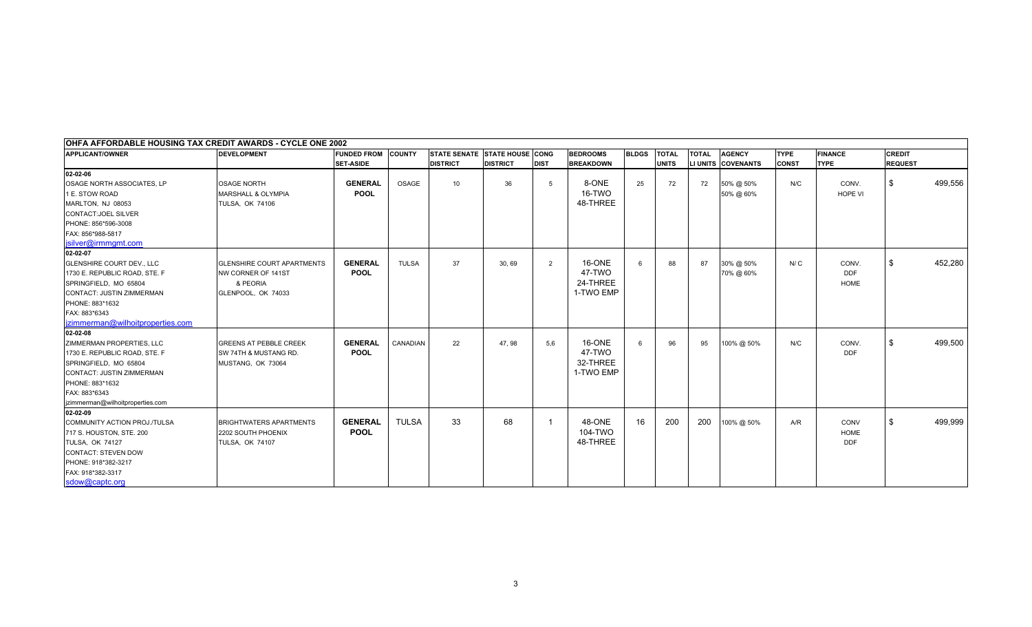| OHFA AFFORDABLE HOUSING TAX CREDIT AWARDS - CYCLE ONE 2002 |                                   |                           |              |                               |                 |             |                  |              |              |              |                    |              |                |                |         |
|------------------------------------------------------------|-----------------------------------|---------------------------|--------------|-------------------------------|-----------------|-------------|------------------|--------------|--------------|--------------|--------------------|--------------|----------------|----------------|---------|
| <b>APPLICANT/OWNER</b>                                     | <b>DEVELOPMENT</b>                | <b>FUNDED FROM COUNTY</b> |              | STATE SENATE STATE HOUSE CONG |                 |             | <b>BEDROOMS</b>  | <b>BLDGS</b> | <b>TOTAL</b> | <b>TOTAL</b> | <b>AGENCY</b>      | <b>TYPE</b>  | <b>FINANCE</b> | <b>CREDIT</b>  |         |
|                                                            |                                   | <b>SET-ASIDE</b>          |              | <b>DISTRICT</b>               | <b>DISTRICT</b> | <b>DIST</b> | <b>BREAKDOWN</b> |              | <b>UNITS</b> |              | LI UNITS COVENANTS | <b>CONST</b> | <b>TYPE</b>    | <b>REQUEST</b> |         |
| 02-02-06                                                   |                                   |                           |              |                               |                 |             |                  |              |              |              |                    |              |                |                |         |
| OSAGE NORTH ASSOCIATES, LP                                 | <b>OSAGE NORTH</b>                | <b>GENERAL</b>            | OSAGE        | 10 <sup>°</sup>               | 36              | 5           | 8-ONE            | 25           | 72           | 72           | 50% @ 50%          | N/C          | CONV.          | \$             | 499,556 |
| 1 E. STOW ROAD                                             | <b>MARSHALL &amp; OLYMPIA</b>     | <b>POOL</b>               |              |                               |                 |             | 16-TWO           |              |              |              | 50% @ 60%          |              | <b>HOPE VI</b> |                |         |
| MARLTON, NJ 08053                                          | <b>TULSA, OK 74106</b>            |                           |              |                               |                 |             | 48-THREE         |              |              |              |                    |              |                |                |         |
| CONTACT: JOEL SILVER                                       |                                   |                           |              |                               |                 |             |                  |              |              |              |                    |              |                |                |         |
| PHONE: 856*596-3008                                        |                                   |                           |              |                               |                 |             |                  |              |              |              |                    |              |                |                |         |
| FAX: 856*988-5817                                          |                                   |                           |              |                               |                 |             |                  |              |              |              |                    |              |                |                |         |
| isilver@irmmamt.com                                        |                                   |                           |              |                               |                 |             |                  |              |              |              |                    |              |                |                |         |
| 02-02-07                                                   |                                   |                           |              |                               |                 |             |                  |              |              |              |                    |              |                |                |         |
| <b>GLENSHIRE COURT DEV., LLC</b>                           | <b>GLENSHIRE COURT APARTMENTS</b> | <b>GENERAL</b>            | <b>TULSA</b> | 37                            | 30, 69          | 2           | 16-ONE           | 6            | 88           | 87           | 30% @ 50%          | N/C          | CONV.          | \$             | 452,280 |
| 1730 E. REPUBLIC ROAD, STE. F                              | NW CORNER OF 141ST                | <b>POOL</b>               |              |                               |                 |             | 47-TWO           |              |              |              | 70% @ 60%          |              | DDF            |                |         |
| SPRINGFIELD, MO 65804                                      | & PEORIA                          |                           |              |                               |                 |             | 24-THREE         |              |              |              |                    |              | <b>HOME</b>    |                |         |
| CONTACT: JUSTIN ZIMMERMAN                                  | GLENPOOL, OK 74033                |                           |              |                               |                 |             | 1-TWO EMP        |              |              |              |                    |              |                |                |         |
| PHONE: 883*1632                                            |                                   |                           |              |                               |                 |             |                  |              |              |              |                    |              |                |                |         |
| FAX: 883*6343                                              |                                   |                           |              |                               |                 |             |                  |              |              |              |                    |              |                |                |         |
| izimmerman@wilhoitproperties.com                           |                                   |                           |              |                               |                 |             |                  |              |              |              |                    |              |                |                |         |
| 02-02-08                                                   |                                   |                           |              |                               |                 |             |                  |              |              |              |                    |              |                |                |         |
| ZIMMERMAN PROPERTIES, LLC                                  | <b>GREENS AT PEBBLE CREEK</b>     | <b>GENERAL</b>            | CANADIAN     | 22                            | 47.98           | 5.6         | 16-ONE           | 6            | 96           | 95           | 100% @ 50%         | N/C          | CONV.          | \$             | 499,500 |
| 1730 E. REPUBLIC ROAD, STE. F                              | SW 74TH & MUSTANG RD.             | <b>POOL</b>               |              |                               |                 |             | 47-TWO           |              |              |              |                    |              | <b>DDF</b>     |                |         |
| SPRINGFIELD, MO 65804                                      | MUSTANG, OK 73064                 |                           |              |                               |                 |             | 32-THREE         |              |              |              |                    |              |                |                |         |
| CONTACT: JUSTIN ZIMMERMAN                                  |                                   |                           |              |                               |                 |             | 1-TWO EMP        |              |              |              |                    |              |                |                |         |
| PHONE: 883*1632                                            |                                   |                           |              |                               |                 |             |                  |              |              |              |                    |              |                |                |         |
| FAX: 883*6343                                              |                                   |                           |              |                               |                 |             |                  |              |              |              |                    |              |                |                |         |
| jzimmerman@wilhoitproperties.com                           |                                   |                           |              |                               |                 |             |                  |              |              |              |                    |              |                |                |         |
| 02-02-09                                                   |                                   |                           |              |                               |                 |             |                  |              |              |              |                    |              |                |                |         |
| COMMUNITY ACTION PROJ./TULSA                               | <b>BRIGHTWATERS APARTMENTS</b>    | <b>GENERAL</b>            | <b>TULSA</b> | 33                            | 68              | -1          | 48-ONE           | 16           | 200          | 200          | 100% @ 50%         | A/R          | CONV           | \$             | 499,999 |
| 717 S. HOUSTON, STE. 200                                   | 2202 SOUTH PHOENIX                | <b>POOL</b>               |              |                               |                 |             | 104-TWO          |              |              |              |                    |              | <b>HOME</b>    |                |         |
| TULSA, OK 74127                                            | <b>TULSA, OK 74107</b>            |                           |              |                               |                 |             | 48-THREE         |              |              |              |                    |              | <b>DDF</b>     |                |         |
| CONTACT: STEVEN DOW                                        |                                   |                           |              |                               |                 |             |                  |              |              |              |                    |              |                |                |         |
| PHONE: 918*382-3217                                        |                                   |                           |              |                               |                 |             |                  |              |              |              |                    |              |                |                |         |
| FAX: 918*382-3317                                          |                                   |                           |              |                               |                 |             |                  |              |              |              |                    |              |                |                |         |
| sdow@captc.org                                             |                                   |                           |              |                               |                 |             |                  |              |              |              |                    |              |                |                |         |